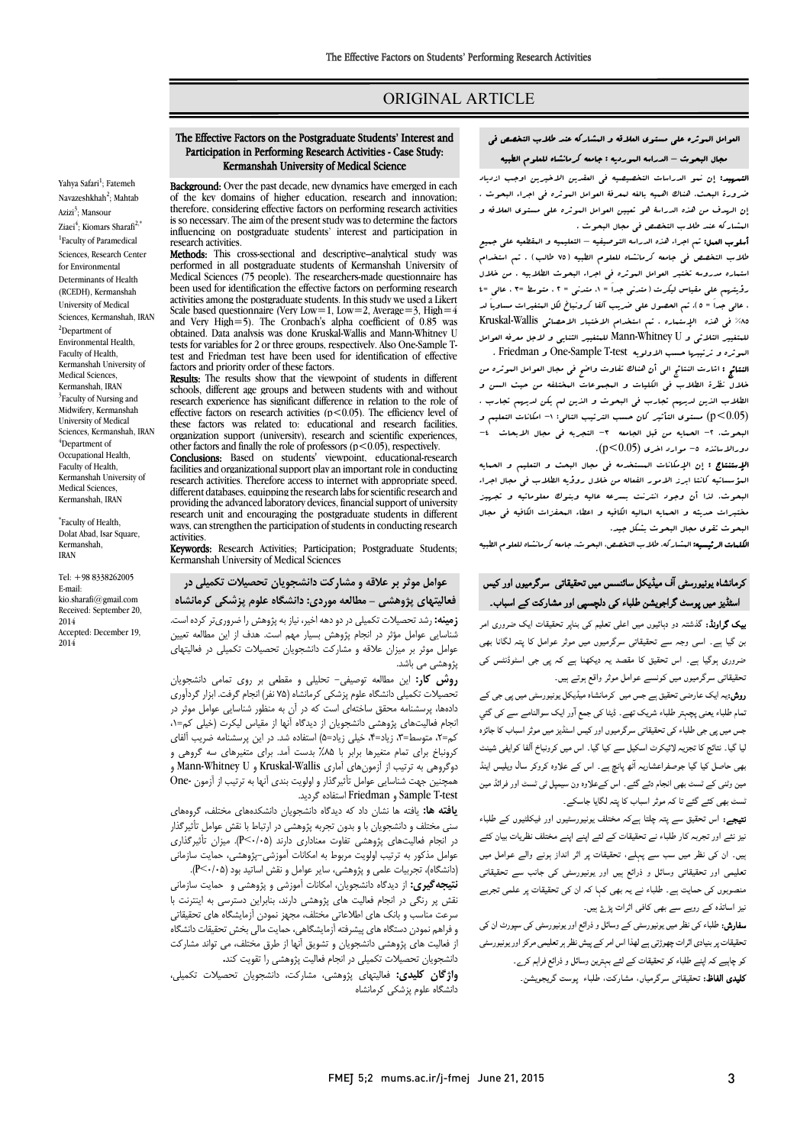# ORIGINAL ARTICLE

# العوامل الموثره علی مستوي العلاقه و المشارکه عند طلاب التخصص فی

Ī 

# مجال البحوث – الدراسه الموردیه : جامعه کرمانشاه للعلوم الطبیه

العلم العلم عن البحث البحث البحث بعضبية للمحت العصورين العقب الموثر .<br>ضرورة البحث. هناك اهبيه بالغه لبعرفۀ العوامل البوثره في اجراء البحوث . إن الهدف من هذه الدراسۀ هو تعیین العوامل الموثره علی مستوي العلاقه و المشارکه عند طلاب التخصص فی مجال البحوث . التمهید: إن نمو الدراسات التخصیصیه فی العقدین الاخیرین اوجب ازدیاد

 أسلوب العمل: تم اجراء هذه الدراسه التوصیفیه – التعلیمیه و المقطعیه علی جمیع طلاب التخصص فی جامعه کرمانشاه للعلوم الطبیه (75 طالب) . تم استخدام رؤیتهم علی مقیاس لیکرت (متدنی جداَ = ،1 متدنی = 2 ، متوسط =3 ، عالی =4 ، عالی جداَ = 5). تم الحصول علی ضریب آلفا کرونباخ لکل المتغیرات مساویاَ لد %85 فی هذه الإستماره . تم استخدام الاختبار الاحصائی Wallis-Kruskal للمتغییر الثلاثی و U Whitney-Mann للمتغییر الثنایی و لاجل معرفه العوامل استماره مدروسه تختبر العوامل الموثره فی اجراء البحوث الطلابیه . من خلال البوثره و ترتیبها حسب الاولویه One-Sample T-test و Friedman .

سرت و سب سی در اشارت است و .<br>النتائج : اشارت النتائج الی أن هناك تفاوت واضح فی مجال العوامل العوثره من خلال نظرة الطلاب فی الکلیات و المجموعات المختلفه من حیث السن و الطلاب الذین لدیهم تجارب فی البحوث و الذین لم یکن لدیهم تجارب . (0.05>p (مستوي التأثیر کان حسب الترتیب التالی: -1 امکانات التعلیم و .<br>دورالاساتذه -5 موارد اخری (1.05>p). البحوث. ٢- الحمايه من قبل الجامعه -٣- التجربه فی مجال الابحاث -1-

 الإستنتاج : إن الإمکانات المستخدمه فی مجال البحث و التعلیم و الحمایه المؤسساتیه کانتا ابرز الامور الفعاله من خلال روؤیه الطلاب فی مجال اجراء البحوث. لذا أن وجود انترنت بسرعه عالیه وبنوك معلوماتیه و تجهیز البحوث تقوي مجال البحوث بشکل جید. مختبرات حدیثه و الحمایه المالیه الکافیه و اعطاء المحفزات الکافیه فی مجال

الکلمات الرئیسیه: المشارکه، طلاب التخصص، البحوث، جامعه کرمانشاه للعلوم الطبیه

## کرمانشاہ یونیورسٹی آف میڈیکل سائنسس میں تحقیقاتی سرگرمیوں اور کیس اسٹڈیز میں پوسٹ گراجویشن طلباء کی دلچسپی اور مشارکت کے اسباب۔

**یک گراونڈ:** گذشتہ دو دہائیوں میں اعلی تعلیم کی بناپر تحقیقات ایک ضروری امر بن گیا ہے۔ اسی وجہ سے تحقیقاتی سرگرمیوں میں موثر عوامل کا پتہ لگانا بھی ضروری ہوگیا ہے۔ اس تحقیق کا مقصد یہ دیکھنا ہے کہ پی جی اسٹوڈنٹس کی نحقیقاتی سرگرمیوں میں کونسے عوامل موثر واقع ہوتے ہیں۔

**روش:**یہ ایک عارضی تحقیق ہے جس میں کرمانشاہ میڈیکل یونیورسٹی میں پی جی کے<br>۔۔۔۔۔۔۔۔۔۔۔۔۔۔۔۔۔۔۔۔۔۔۔۔۔۔۔ نمام طلباء یعنی پچہتر طلباء شریک تھے۔ ڈیٹا کی جمع آور ایک سوالنامے سے کی گئي<br>۔ بس میں پی بی صبہ می تحقیدی سرترمیوں اور میس اسمبر میں موثر اسباب تا جائزہ<br>لیا گیا۔ نتائج کا تجزیہ لائیکرٹ اسکیل سے کیا گیا۔ اس میں کرونباخ آلفا کوایفی شینٹ ار آ ۔ اس وہ و ل و ا ۔<br>میں وٹنی کے ٹسٹ بھی انجام دئے گئے۔ اس کےعلاوہ ون سیمپل ٹی ٹسٹ اور فرائڈ مین .<br>سُٹ بھی کئے گئے تا کہ موثر اسباب کا پتہ لگایا جاسکے۔ جس میں پی جی طلباء کی تحقیقاتی سرگرمیوں اور کیس اسٹڈیز میں موثر اسباب کا جائزہ

ن**تیجے:** اس تحقیق سے پتہ چلتا ہےکہ مختلف یونیورسٹیوں اور فیکلٹیوں کے طلباء بیز نئے اور تجربہ کار طلباء نے تحقیقات کے لئے اپنے اپنے مختلف نظریات بیان کئے بیں۔ ان کی نظر میں سب سے پہلے، تحقیقات پر اثر انداز ہونے والے عوامل میں نعلیمی اور تحقیقاتی وسائل و ذرائع ہیں اور یونیورسٹی کی جانب سے تحقیقاتی<br>۔ منصوبوں کی حمایت ہے۔ طلباء نے یہ بھی کہا کہ ان کی تحقیقات پر علمی تجربے<br>میلمند میں مقدمت نیز اساتذہ کے رویے سے بھی کافی اثرات پڑئے ہیں۔

یر سسمند سے رہتے ہے بھی سعی مرتب پرے ہیں۔<br>**سفارش:** طلباء کی نظر میں یونیورسٹی کے وسائل و ذرائع اور یونیورسٹی کی سپورٹ ان کی ۔ ۔ ۔<br>نحقیقات پر بنیادی اثرات چھوڑتی ہے لھذا اس امر کے پیش نظر ہر تعلیمی مرکز اور یونیورسٹی <sub>۔</sub><br>کو چاہیے کہ اپنے طلباء کو تحقیقات کے لئے بہترین وسائل و ذرائع فراہم کرے۔ **تلیدی الفاظ:** تحقیقاتی سرگرمیاں، مشارکت، طلباء پوست گریجویشن۔

## The Effective Factors on the Postgraduate Students' Interest and Participation in Performing Research Activities - Case Study: Kermanshah University of Medical Science

Ī  $\overline{a}$ 

Background: Over the past decade, new dynamic of the key domains of inglier education, research and innovation;<br>therefore, considering effective factors on performing research activities is so necessary. The aim of the present study was to determine the factors<br>influencing on postgraduate students' interest and participation in research activities.<br>**Methods:** This cross-sectional and descriptive–analytical study was Background: Over the past decade, new dynamics have emerged in each of the key domains of higher education, research and innovation; is so necessary. The aim of the present study was to determine the factors esearch activities.

 performed in all postgraduate students of Kermanshah University of been used for identification the effective factors on performing research activities among the postgraduate students. In this study we used a Likert<br>Scale based questionnaire (Very Low=1, Low=2, Average=3, High=4 and Very High $=$ 5). The Cronbach's alpha coefficient of 0.85 was tests for variables for 2 or three groups, respectively. Also One-Sample T- test and Friedman test have been used for identification of effective test and Friedman test have been used for identification of effective Medical Sciences (75 people). The researchers-made questionnaire has activities among the postgraduate students. In this study we used a Likert obtained. Data analysis was done Kruskal-Wallis and Mann-Whitney U factors and priority order of these factors.

**Results:** The results show that the viewpoint of students in different age groups and between students with and without research experience has significant difference in relation to the role of these factors was related to: educational and research facilities, organization support (university), research and scientific experient other factors and finally the role of professors  $(p<0.05)$ , respectively. Results: The results show that the viewpoint of students in different effective factors on research activities ( $p < 0.05$ ). The efficiency level of organization support (university), research and scientific experiences,

**Conclusions:** Based on students' viewpoint, educational-research<br>facilities and organizational support play an important role in conducting research activities. Therefore access to internet with appropriate speed, providing the advanced laboratory devices, financial support of university research unit and encouraging the posigraduate students in different<br>ways, can strengthen the participation of students in conducting research Conclusions: Based on students' viewpoint, educational-research different databases, equipping the research labs for scientific research and research unit and encouraging the postgraduate students in different activities.

activities.<br>**Keywords:** Research Activities; Participation; Postgraduate Students; Kermanshah University of Medical Sciences

 عوامل موثر بر علاقه و مشارکت دانشجویان تحصیلات تکمیلی در فعالیتهاي پژوهشی – مطالعه موردي: دانشگاه علوم پزشکی کرمانشاه

 زمینه: رشد تحصیلات تکمیلی در دو دهه اخیر، نیاز به پژوهش را ضروريتر کرده است. شناسایی عوامل مؤثر در انجام پژوهش بسیار مهم است. هدف از این مطالعه تعیین عوامل موثر بر میزان علاقه و مشارکت دانشجویان تحصیلات تکمیلی در فعالیتهای<br>پژهش*تی می* باشد. پژوهشی می باشد.

 روش کار: این مطالعه توصیفی- تحلیلی و مقطعی بر روي تمامی دانشجویان تحصیلات تکمیلی دانشگاه علوم پزشکی کرمانشاه (75 نفر) انجام گرفت. ابزار گردآوري انجام فعالیتهاي پژوهشی دانشجویان از دیدگاه آنها از مقیاس لیکرت (خیلی کم=،1 کم=۲، متوسط=۳، زیاد=۴، خیلی زیاد=۵) استفاده شد. در این پرسشنامه ضریب آلفای دروبیاج برای نمام معیرها برابر با ۱۸۰۵، بدست آمد. برای معیرهای سه دروهی و<br>دوگروهی به ترتیب از آزمونهای آماری Kruskal-Wallis و Mann-Whitney U و همچنین جهت شناسایی عوامل تأثیرگذار و اولویت بندي آنها به ترتیب از آزمون -One .گردید استفاده Friedman و Sample T-test دادهها، پرسشنامه محقق ساختهاي است که در آن به منظور شناسایی عوامل موثر در کرونباخ براي تمام متغیرها برابر با %85 بدست آمد. براي متغیرهاي سه گروهی و

**یاحته ها.** یافته ها نسان داد که دیدناه دانسجویان دانسددههای مختلف، کروههای<br>سنی مختلف و دانشجویان با و بدون تجربه پژوهشی در ارتباط با نقش عوامل تأثیرگذار در انجام فعالیتهاي پژوهشی تفاوت معناداري دارند (0/05>P(. میزان تأثیرگذاري عوامل مذکور به ترتیب اولویت مربوط به امکانات آموزشی-پژوهشی، حمایت سازمانی یافته ها: یافته ها نشان داد که دیدگاه دانشجویان دانشکدههاي مختلف، گروههاي (دانشگاه)، تجربیات علمی و پژوهشی، سایر عوامل و نقش اساتید بود (0/05>P(.

راناستها، مجربيات عملی و پروفسی، ساير عوامل و عسل اسانيد بود راه ۱۰۰٬۰۰۰ .<br>**نتیجه گیری:** از دیدگاه دانشجویان، امکانات آموزشی و پژوهشی و حمایت سازمانی نقش پر رنگی در انجام فعالیت هاي پژوهشی دارند، بنابراین دسترسی به اینترنت با سرعت مناسب و بانک هاي اطلاعاتی مختلف، مجهز نمودن آزمایشگاه هاي تحقیقاتی و در هم نمودن دستگاه های پیسرفته آرمایسکاهی، حمایت هایی بخش تخفیفات دانشگاه<br>از فعالیت های پژوهشی دانشجویان و تشویق آنها از طرق مختلف، می تواند مشارکت دانشجویان تحصیلات تکمیلی در انجام فعالیت پژوهشی را تقویت کند. و فراهم نمودن دستگاه هاي پیشرفته آزمایشگاهی، حمایت مالی بخش تحقیقات دانشگاه

 واژگان کلیدي: فعالیتهاي پژوهشی، مشارکت، دانشجویان تحصیلات تکمیلی، دانشگاه علوم پزشکی کرمانشاه

Yahya Safari<sup>1</sup>; Fatemeh Navazeshkhah<sup>2</sup>; Mahtab Azizi<sup>3</sup>; Mansour Ziaei<sup>4</sup>; Kiomars Sharafi<sup>2,\*</sup> <sup>1</sup>Faculty of Paramedical Sciences, Research Center for Environmental Determinants of Health (RCEDH), Kermanshah University of Medical Sciences, Kermanshah, IRAN <sup>2</sup>Department of Environmental Health, Faculty of Health, Kermanshah University of Medical Sciences, Kermanshah, IRAN <sup>3</sup>Faculty of Nursing and Midwifery, Kermanshah University of Medical Sciences, Kermanshah, IRAN <sup>4</sup>Department of Occupational Health, Faculty of Health, Kermanshah University of Medical Sciences, Kermanshah, IRAN

\* Faculty of Health, Dolat Abad, Isar Square, Kermanshah, IRAN

Tel: +98 8338262005 E-mail: kio.sharafi@gmail.com Received: September 20, 2014 Accepted: December 19, 2014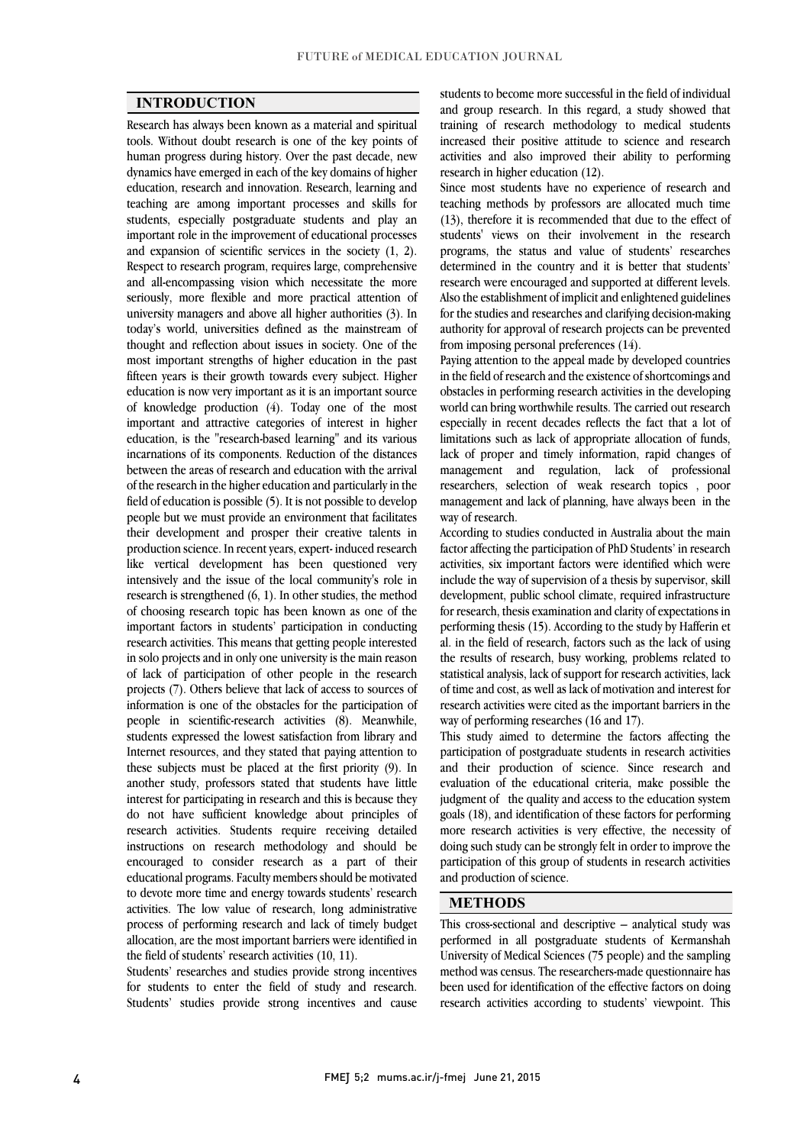$\overline{a}$  $\overline{a}$ 

## INTRODUCTION

 Research has always been known as a material and spiritual tools. Without doubt research is one of the key points of dynamics have emerged in each of the key domains of higher education, research and innovation. Research, learning and teaching are among important processes and skills for students, especially postgraduate students and play an and expansion of scientific services in the society (1, 2). Respect to research program, requires large, comprehensive and all-encompassing vision which necessitate the more seriously, more flexible and more practical attention of today's world, universities defined as the mainstream of thought and reflection about issues in society. One of the most important strengths of higher education in the past fifteen years is their growth towards every subject. Higher of knowledge production (4). Today one of the most important and attractive categories of interest in higher education, is the "research-based learning" and its various between the areas of research and education with the arrival of the research in the higher education and particularly in the field of education is possible (5). It is not possible to develop people but we must provide an environment that facilitates production science. In recent years, expert- induced research like vertical development has been questioned very intensively and the issue of the local community's role in research is strengthened (6, 1). In other studies, the method important factors in students' participation in conducting research activities. This means that getting people interested in solo projects and in only one university is the main reason of lack of participation of other people in the research information is one of the obstacles for the participation of people in scientific-research activities (8). Meanwhile, students expressed the lowest satisfaction from library and Internet resources, and they stated that paying attention to<br>these subjects must be placed at the first priority (9). In another study, professors stated that students have little interest for participating in research and this is because they do not have sufficient knowledge about principles of instructions on research methodology and should be encouraged to consider research as a part of their educational programs. Faculty members should be motivated to devote more time and energy towards students' research process of performing research and lack of timely budget allocation, are the most important barriers were identified in human progress during history. Over the past decade, new important role in the improvement of educational processes university managers and above all higher authorities (3). In education is now very important as it is an important source incarnations of its components. Reduction of the distances their development and prosper their creative talents in of choosing research topic has been known as one of the projects (7). Others believe that lack of access to sources of Internet resources, and they stated that paying attention to research activities. Students require receiving detailed activities. The low value of research, long administrative the field of students' research activities (10, 11).

 Students' researches and studies provide strong incentives Students' studies provide strong incentives and cause for students to enter the field of study and research.

 and group research. In this regard, a study showed that training of research methodology to medical students increased their positive attitude to science and research activities and also improved their ability to performing<br>research in higher education (12) students to become more successful in the field of individual research in higher education (12).

 Since most students have no experience of research and teaching methods by professors are allocated much time students' views on their involvement in the research programs, the status and value of students' researches determined in the country and it is better that students' research were encouraged and supported at different levels. for the studies and researches and clarifying decision-making authority for approval of research projects can be prevented (13), therefore it is recommended that due to the effect of Also the establishment of implicit and enlightened guidelines from imposing personal preferences (14).

 Paying attention to the appeal made by developed countries obstacles in performing research activities in the developing world can bring worthwhile results. The carried out research especially in recent decades reflects the fact that a lot of limitations such as lack of appropriate allocation of funds, management and regulation, lack of professional researchers, selection of weak research topics , poor management and lack of planning, have always been in the in the field of research and the existence of shortcomings and lack of proper and timely information, rapid changes of way of research.

way or researcn.<br>According to studies conducted in Australia about the main factor affecting the participation of PhD Students' in research activities, six important factors were identified which were include the way of supervision of a thesis by supervisor, skill development, public school climate, required infrastructure performing thesis (15). According to the study by Hafferin et al. in the field of research, factors such as the lack of using the results of research, busy working, problems related to of time and cost, as well as lack of motivation and interest for research activities were cited as the important barriers in the for research, thesis examination and clarity of expectations in statistical analysis, lack of support for research activities, lack way of performing researches (16 and 17).

 This study aimed to determine the factors affecting the and their production of science. Since research and evaluation of the educational criteria, make possible the judgment of the quality and access to the education system goals (18), and identification of these factors for performing doing such study can be strongly felt in order to improve the participation of this group of students in research activities participation of postgraduate students in research activities more research activities is very effective, the necessity of and production of science.

#### METHODS

 This cross-sectional and descriptive – analytical study was performed in all postgraduate students of Kermanshah University of Medical Sciences (75 people) and the sampling method was census. The researchers-made questionnaire has research activities according to students' viewpoint. This been used for identification of the effective factors on doing

Ι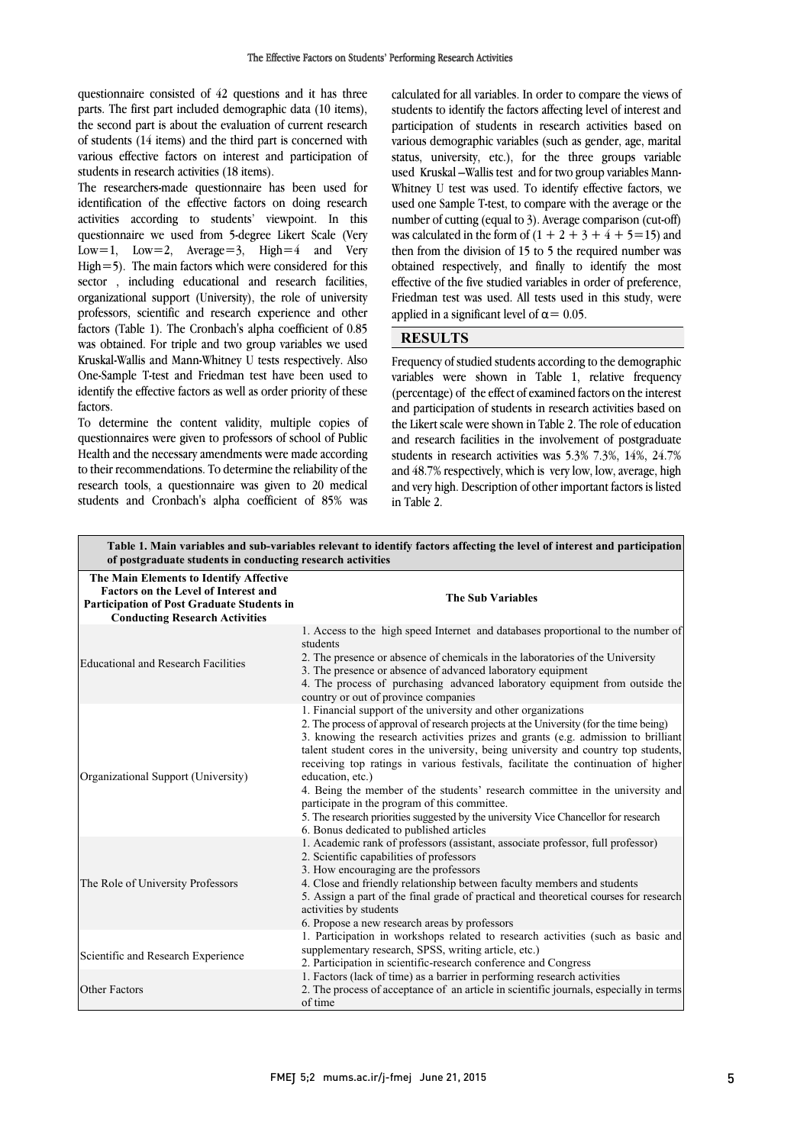questionnaire consisted of 42 questions and it has three parts. The first part included demographic data (10 items), the second part is about the evaluation of current research of students (14 items) and the third part is concerned with various effective factors on interest and participation of<br>students in research activities (18 items) students in research activities (18 items).

 The researchers-made questionnaire has been used for identification of the effective factors on doing research activities according to students' viewpoint. In this Low=1, Low=2, Average=3, High=4 and Very High=5). The main factors which were considered for this sector , including educational and research facilities, professors, scientific and research experience and other factors (Table 1). The Cronbach's alpha coefficient of 0.85 was obtained. For triple and two group variables we used Kruskal-Wallis and Mann-Whitney U tests respectively. Also  $\ddot{\ }$  identify the effective factors as well as order priority of these questionnaire we used from 5-degree Likert Scale (Very organizational support (University), the role of university One-Sample T-test and Friedman test have been used to factors.

 To determine the content validity, multiple copies of questionnaires were given to professors of school of Public to their recommendations. To determine the reliability of the research tools, a questionnaire was given to 20 medical students and Cronbach's alpha coefficient of 85% was Health and the necessary amendments were made according

 calculated for all variables. In order to compare the views of students to identify the factors affecting level of interest and participation of students in research activities based on various demographic variables (such as gender, age, marital used Kruskal –Wallis test and for two group variables Mann- used one Sample T-test, to compare with the average or the number of cutting (equal to 5). Average comparison (cut-on)<br>was calculated in the form of  $(1 + 2 + 3 + 4 + 5 = 15)$  and then from the division of 15 to 5 the required number was obtained respectively, and finally to identify the most effective of the five studied variables in order of preference, Friedman test was used. All tests used in this study, were<br>exactled in a similar large large 0.05 j status, university, etc.), for the three groups variable Whitney U test was used. To identify effective factors, we number of cutting (equal to 3). Average comparison (cut-off) applied in a significant level of  $\alpha$  = 0.05.

## **RESULTS**

 Frequency of studied students according to the demographic variables were shown in Table 1, relative frequency<br>(percentage) of the effect of examined factors on the interest and participation of students in research activities based on the Likert scale were shown in Table 2. The role of education and research facilities in the involvement of postgraduate statents in research activities was  $5.5\%$   $7.5\%$ ,  $14\%$ ,  $24.7\%$ <br>and 48.7% respectively, which is very low, low, average, high and very high. Description of other important factors is listed variables were shown in Table 1, relative frequency students in research activities was 5.3% 7.3%, 14%, 24.7% in Table 2.

l

| Table 1. Main variables and sub-variables relevant to identify factors affecting the level of interest and participation<br>of postgraduate students in conducting research activities |                                                                                                                                                                                                                                                                                                                                                                                                                                                                                                                                                                                                                                                                                                                   |  |  |  |
|----------------------------------------------------------------------------------------------------------------------------------------------------------------------------------------|-------------------------------------------------------------------------------------------------------------------------------------------------------------------------------------------------------------------------------------------------------------------------------------------------------------------------------------------------------------------------------------------------------------------------------------------------------------------------------------------------------------------------------------------------------------------------------------------------------------------------------------------------------------------------------------------------------------------|--|--|--|
| The Main Elements to Identify Affective<br><b>Factors on the Level of Interest and</b><br><b>Participation of Post Graduate Students in</b><br><b>Conducting Research Activities</b>   | <b>The Sub Variables</b>                                                                                                                                                                                                                                                                                                                                                                                                                                                                                                                                                                                                                                                                                          |  |  |  |
| <b>Educational and Research Facilities</b>                                                                                                                                             | 1. Access to the high speed Internet and databases proportional to the number of<br>students<br>2. The presence or absence of chemicals in the laboratories of the University<br>3. The presence or absence of advanced laboratory equipment<br>4. The process of purchasing advanced laboratory equipment from outside the<br>country or out of province companies                                                                                                                                                                                                                                                                                                                                               |  |  |  |
| Organizational Support (University)                                                                                                                                                    | 1. Financial support of the university and other organizations<br>2. The process of approval of research projects at the University (for the time being)<br>3. knowing the research activities prizes and grants (e.g. admission to brilliant<br>talent student cores in the university, being university and country top students,<br>receiving top ratings in various festivals, facilitate the continuation of higher<br>education, etc.)<br>4. Being the member of the students' research committee in the university and<br>participate in the program of this committee.<br>5. The research priorities suggested by the university Vice Chancellor for research<br>6. Bonus dedicated to published articles |  |  |  |
| The Role of University Professors                                                                                                                                                      | 1. Academic rank of professors (assistant, associate professor, full professor)<br>2. Scientific capabilities of professors<br>3. How encouraging are the professors<br>4. Close and friendly relationship between faculty members and students<br>5. Assign a part of the final grade of practical and theoretical courses for research<br>activities by students<br>6. Propose a new research areas by professors                                                                                                                                                                                                                                                                                               |  |  |  |
| Scientific and Research Experience                                                                                                                                                     | 1. Participation in workshops related to research activities (such as basic and<br>supplementary research, SPSS, writing article, etc.)<br>2. Participation in scientific-research conference and Congress                                                                                                                                                                                                                                                                                                                                                                                                                                                                                                        |  |  |  |
| Other Factors                                                                                                                                                                          | 1. Factors (lack of time) as a barrier in performing research activities<br>2. The process of acceptance of an article in scientific journals, especially in terms<br>of time                                                                                                                                                                                                                                                                                                                                                                                                                                                                                                                                     |  |  |  |

٦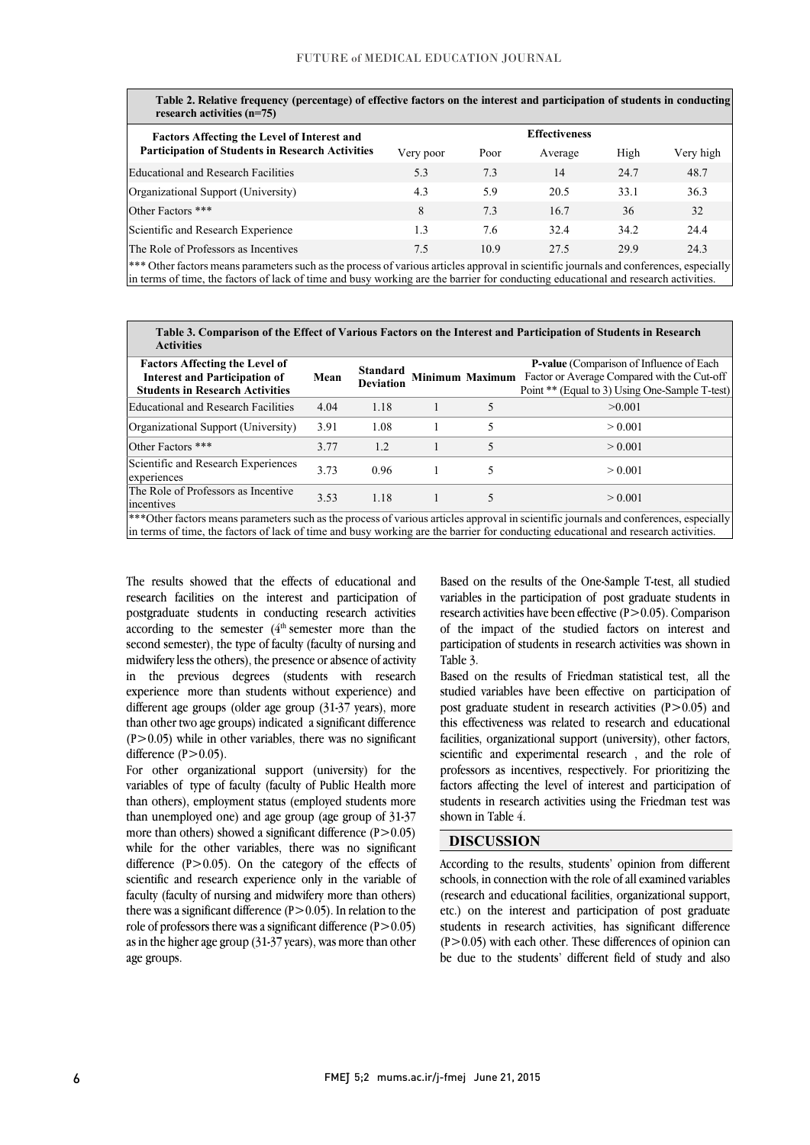l

Į Table 2. Relative frequency (percentage) of effective factors on the interest and participation of students in conducting<br>research activities (n–75) research activities (n=75)

| <b>Factors Affecting the Level of Interest and</b>      | <b>Effectiveness</b> |      |         |      |           |  |
|---------------------------------------------------------|----------------------|------|---------|------|-----------|--|
| <b>Participation of Students in Research Activities</b> | Very poor            | Poor | Average | High | Very high |  |
| Educational and Research Facilities                     | 5.3                  | 7.3  | 14      | 24.7 | 48.7      |  |
| Organizational Support (University)                     | 4.3                  | 5.9  | 20.5    | 33.1 | 36.3      |  |
| Other Factors ***                                       | 8                    | 7.3  | 16.7    | 36   | 32        |  |
| Scientific and Research Experience                      | 1.3                  | 7.6  | 32.4    | 34.2 | 24.4      |  |
| The Role of Professors as Incentives                    | 7.5                  | 10.9 | 27.5    | 29.9 | 24.3      |  |
|                                                         |                      |      |         |      |           |  |

\*\*\* Other factors means parameters such as the process of various articles approval in scientific journals and conferences, especially  $\overline{a}$ in terms of time, the factors of lack of time and busy working are the barrier for conducting educational and research activities.

 Table 3. Comparison of the Effect of Various Factors on the Interest and Participation of Students in Research **Activities** 

| <b>Factors Affecting the Level of</b><br><b>Interest and Participation of</b><br><b>Students in Research Activities</b> | Mean | Standard<br><b>Deviation</b> |  | <b>P-value</b> (Comparison of Influence of Each<br>Minimum Maximum Factor or Average Compared with the Cut-off<br>Point ** (Equal to 3) Using One-Sample T-test)                                                                                       |
|-------------------------------------------------------------------------------------------------------------------------|------|------------------------------|--|--------------------------------------------------------------------------------------------------------------------------------------------------------------------------------------------------------------------------------------------------------|
| Educational and Research Facilities                                                                                     | 4.04 | 1.18                         |  | >0.001                                                                                                                                                                                                                                                 |
| Organizational Support (University)                                                                                     | 3.91 | 1.08                         |  | > 0.001                                                                                                                                                                                                                                                |
| Other Factors ***                                                                                                       | 3.77 | 1.2                          |  | > 0.001                                                                                                                                                                                                                                                |
| Scientific and Research Experiences<br>experiences                                                                      | 3.73 | 0.96                         |  | > 0.001                                                                                                                                                                                                                                                |
| The Role of Professors as Incentive<br>incentives                                                                       | 3.53 | 1.18                         |  | > 0.001                                                                                                                                                                                                                                                |
|                                                                                                                         |      |                              |  | ***Other factors means parameters such as the process of various articles approval in scientific journals and conferences, especially<br>li est a e seu en a est an anti-santa de la seu a seu a a seu a seu a seu a seu a seu a seu a seu a de la seu |

 $\overline{a}$ in terms of time, the factors of lack of time and busy working are the barrier for conducting educational and research activities.

 The results showed that the effects of educational and research facilities on the interest and participation of posigraduate students in conducting research activities according to the semester  $(4<sup>th</sup>$  semester more than the second semester), the type of faculty (faculty of nursing and midwifery less the others), the presence or absence of activity in the previous degrees (students with research different age groups (older age group (31-37 years), more than other two age groups) indicated a significant difference  $(P>0.05)$  while in other variables, there was no significant postgraduate students in conducting research activities experience more than students without experience) and difference  $(P>0.05)$ .

 For other organizational support (university) for the variables of type of faculty (faculty of Public Health more than others), employment status (employed students more than unemployed one) and age group (age group of 31-37 more than others) showed a significant difference  $(P>0.05)$ difference (P>0.05). On the category of the effects of scientific and research experience only in the variable of faculty (faculty of nursing and midwifery more than others) there was a significant difference  $(P>0.05)$ . In relation to the as in the higher age group (31-37 years), was more than other while for the other variables, there was no significant role of professors there was a significant difference  $(P>0.05)$ age groups.

 Based on the results of the One-Sample T-test, all studied variables in the participation of post graduate students in of the impact of the studied factors on interest and participation of students in research activities was shown in research activities have been effective  $(P>0.05)$ . Comparison Table 3.

l

 Based on the results of Friedman statistical test, all the post graduate student in research activities (P>0.05) and this effectiveness was related to research and educational facilities, organizational support (university), other factors, scientific and experimental research , and the role of factors affecting the level of interest and participation of students in research activities using the Friedman test was studied variables have been effective on participation of professors as incentives, respectively. For prioritizing the shown in Table 4.

## DISCUSSION

 According to the results, students' opinion from different schools, in connection with the role of all examined variables (research and educational facilities, organizational support, etc.) on the interest and participation of post graduate  $(P>0.05)$  with each other. These differences of opinion can be due to the students' different field of study and also students in research activities, has significant difference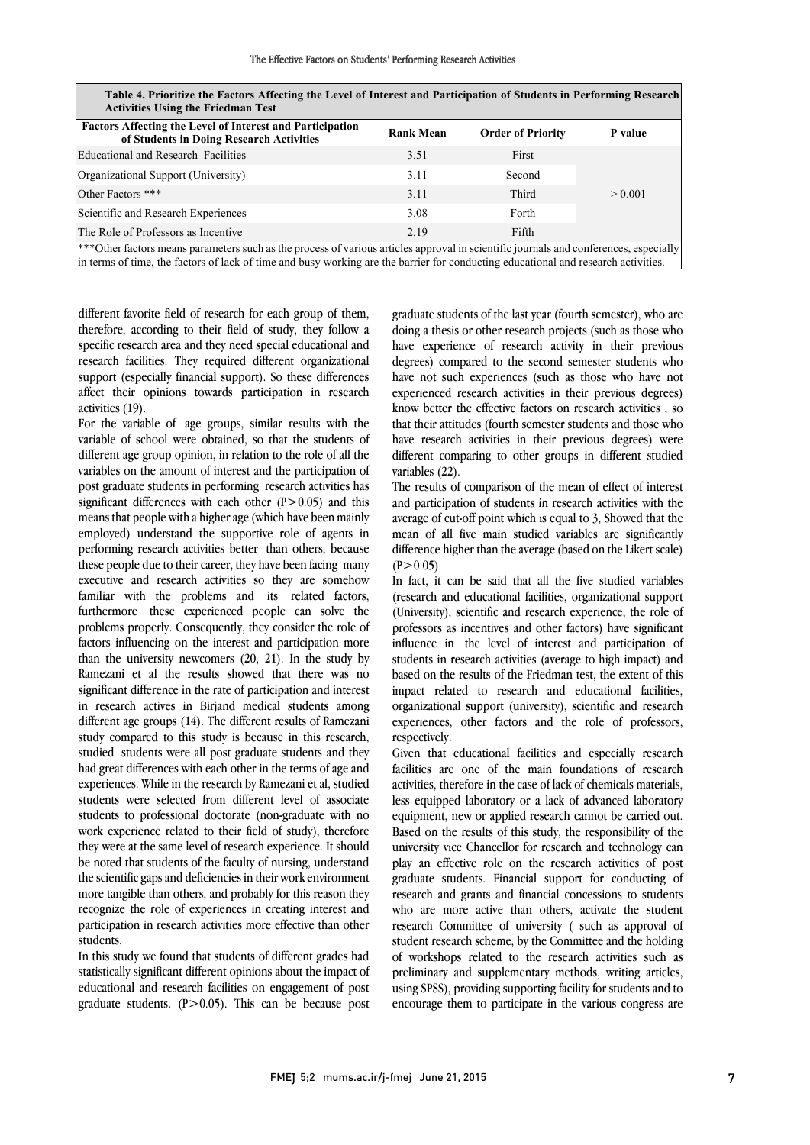|  | The Effective Factors on Students' Performing Research Activities |
|--|-------------------------------------------------------------------|
|--|-------------------------------------------------------------------|

| Table 4. Prioritize the Factors Affecting the Level of Interest and Participation of Students in Performing Research<br><b>Activities Using the Friedman Test</b> |                  |                          |         |  |  |  |
|-------------------------------------------------------------------------------------------------------------------------------------------------------------------|------------------|--------------------------|---------|--|--|--|
| <b>Factors Affecting the Level of Interest and Participation</b><br>of Students in Doing Research Activities                                                      | <b>Rank Mean</b> | <b>Order of Priority</b> | P value |  |  |  |
| Educational and Research Facilities                                                                                                                               | 3.51             | First                    |         |  |  |  |
| Organizational Support (University)                                                                                                                               | 3.11             | Second                   |         |  |  |  |
| Other Factors ***                                                                                                                                                 | 3.11             | Third                    | > 0.001 |  |  |  |
| Scientific and Research Experiences                                                                                                                               | 3.08             | Forth                    |         |  |  |  |
| The Role of Professors as Incentive                                                                                                                               | 2.19             | Fifth                    |         |  |  |  |
| ***Other factors means parameters such as the process of various articles approval in scientific journals and conferences, especially                             |                  |                          |         |  |  |  |

.<br>L  $\overline{1}$ Table 4. Prioritize the Factors Affecting the Level of Interest and Participation of Students in Performing Research

 in terms of time, the factors of lack of time and busy working are the barrier for conducting educational and research activities.

 different favorite field of research for each group of them, therefore, according to their field of study, they follow a specific research area and they need special educational and research facilities. They required different organizational support (especially financial support). So these differences affect their opinions towards participation in research activities (19).

For the variable of age groups, similar results with the variable of school were obtained, so that the students of different age group opinion, in relation to the role of all the variables on the amount of interest and the participation of post graduate students in performing research activities has significant differences with each other  $(P>0.05)$  and this means that people with a higher age (which have been mainly employed) understand the supportive role of agents in performing research activities better than others, because these people due to their career, they have been facing many executive and research activities so they are somehow familiar with the problems and its related factors, furthermore these experienced people can solve the problems properly. Consequently, they consider the role of factors influencing on the interest and participation more than the university newcomers (20, 21). In the study by Ramezani et al the results showed that there was no significant difference in the rate of participation and interest in research actives in Birjand medical students among different age groups (14). The different results of Ramezani study compared to this study is because in this research, studied students were all post graduate students and they had great differences with each other in the terms of age and experiences. While in the research by Ramezani et al, studied students were selected from different level of associate students to professional doctorate (non-graduate with no work experience related to their field of study), therefore they were at the same level of research experience. It should be noted that students of the faculty of nursing, understand the scientific gaps and deficiencies in their work environment more tangible than others, and probably for this reason they recognize the role of experiences in creating interest and participation in research activities more effective than other students.

 educational and research facilities on engagement of post graduate students.  $(P>0.05)$ . This can be because post In this study we found that students of different grades had statistically significant different opinions about the impact of

 graduate students of the last year (fourth semester), who are doing a thesis or other research projects (such as those who have experience of research activity in their previous degrees) compared to the second semester students who have not such experiences (such as those who have not know better the effective factors on research activities , so that their attitudes (fourth semester students and those who have research activities in their previous degrees) were different comparing to other groups in different studied experienced research activities in their previous degrees) variables (22).

The results of comparison of the mean of effect of interest and participation of students in research activities with the average of cut-off point which is equal to 3, Showed that the difference higher than the average (based on the Likert scale) mean of all five main studied variables are significantly  $(P > 0.05)$ .

 In fact, it can be said that all the five studied variables (research and educational facilities, organizational support professors as incentives and other factors) have significant influence in the level of interest and participation of students in research activities (average to high impact) and based on the results of the Friedman test, the extent of this organizational support (university), scientific and research experiences, other factors and the role of professors, (University), scientific and research experience, the role of impact related to research and educational facilities, respectively.

Given that educational facilities and especially research activities, therefore in the case of lack of chemicals materials, less equipped laboratory or a lack of advanced laboratory equipment, new or applied research cannot be carried out. based on the results of this study, the responsibility of the<br>university vice Chancellor for research and technology can play an effective role on the research activities of post graduate students. Financial support for conducting of research and grants and financial concessions to students who are more active than others, activate the student<br>research Committee of university (such as approval of student research scheme, by the Committee and the holding of workshops related to the research activities such as preliminary and supplementary methods, writing articles, asing or 33), providing supporting factory for students and to<br>encourage them to participate in the various congress are facilities are one of the main foundations of research Based on the results of this study, the responsibility of the who are more active than others, activate the student using SPSS), providing supporting facility for students and to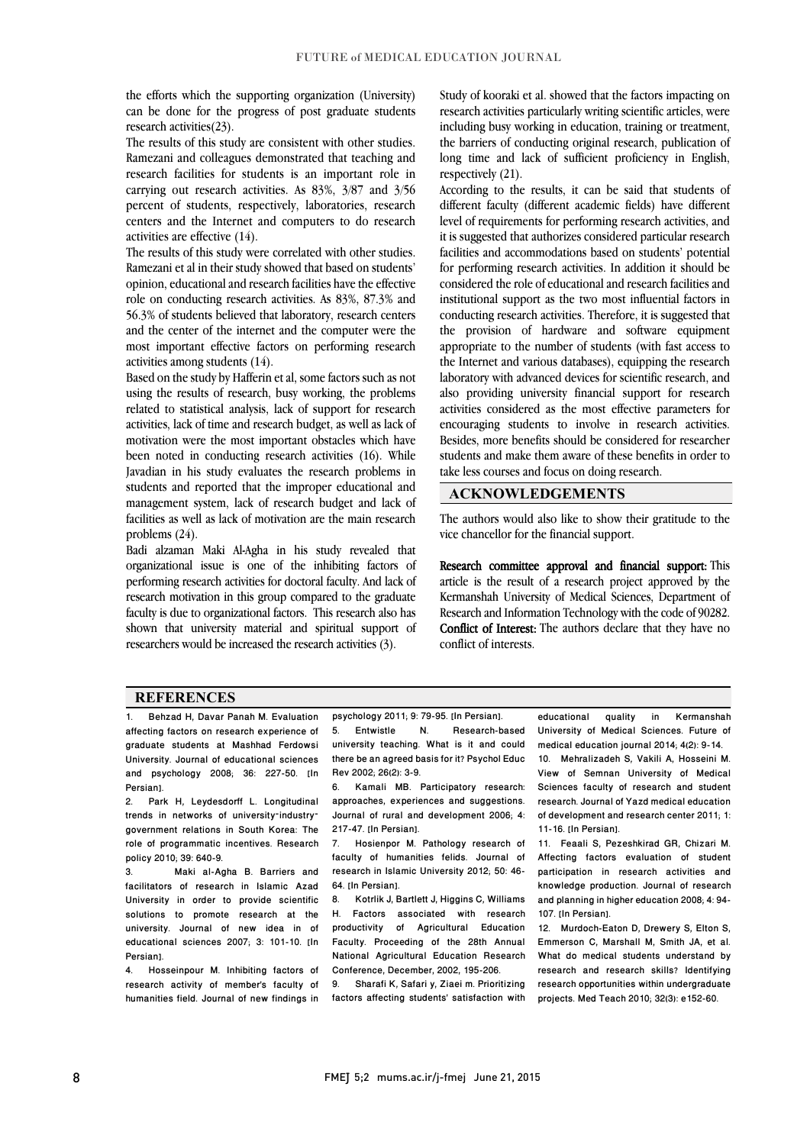the efforts which the supporting organization (University)  $\overline{\phantom{a}}$ can be done for the progress of post graduate students<br>research activities  $(23)$ research activities(23).

 The results of this study are consistent with other studies. Ramezani and colleagues demonstrated that teaching and research facilities for students is an important role in carrying out research activities. As 83%, 3/87 and 3/56 percent of students, respectively, laboratories, research centers and the Internet and computers to do research<br>estimities are effective  $(14)$ activities are effective (14).

The results of this study were correlated with other studies. Ramezani et al in their study showed that based on students' opinion, educational and research facilities have the effective role on conducting research activities. As 83%, 87.3% and 56.3% of students believed that laboratory, research centers and the center of the internet and the computer were the most important effective factors on performing research<br>activities among students (14) activities among students (14).

 Based on the study by Hafferin et al, some factors such as not using the results of research, busy working, the problems related to statistical analysis, lack of support for research activities, lack of time and research budget, as well as lack of motivation were the most important obstacles which have Javadian in his study evaluates the research problems in students and reported that the improper educational and management system, lack of research budget and lack of facilities as well as lack of motivation are the main research been noted in conducting research activities (16). While problems (24).

 Badi alzaman Maki Al-Agha in his study revealed that organizational issue is one of the inhibiting factors of research motivation in this group compared to the graduate faculty is due to organizational factors. This research also has shown that university material and spiritual support of performing research activities for doctoral faculty. And lack of researchers would be increased the research activities (3).

 Study of kooraki et al. showed that the factors impacting on research activities particularly writing scientific articles, were including busy working in education, training or treatment, the barriers of conducting original research, publication of long time and lack of sufficient proficiency in English, respectively (21).

 According to the results, it can be said that students of different faculty (different academic fields) have different it is suggested that authorizes considered particular research facilities and accommodations based on students' potential for performing research activities. In addition it should be considered the role of educational and research facilities and institutional support as the two most influential factors in conducting research activities. Therefore, it is suggested that the provision of hardware and software equipment the Internet and various databases), equipping the research laboratory with advanced devices for scientific research, and also providing university financial support for research activities considered as the most effective parameters for encouraging students to involve in research activities. Besides, more benefits should be considered for researcher students and make them aware of these benefits in order to  $\overline{a}$ level of requirements for performing research activities, and appropriate to the number of students (with fast access to take less courses and focus on doing research.

### ACKNOWLEDGEMENTS

 The authors would also like to show their gratitude to the vice chancellor for the financial support.

 Research committee approval and financial support: This Kermanshah University of Medical Sciences, Department of Research and Information Technology with the code of 90282. Conflict of Interest: The authors declare that they have no article is the result of a research project approved by the conflict of interests.

#### **REFERENCES**

1. Behzad H, Davar Panah M. Evaluation affecting factors on research experience of graduate students at Mashhad Ferdowsi University. Journal of educational sciences and psychology 2008; 36: 227-50. [In Persian].

2. Park H, Leydesdorff L. Longitudinal trends in networks of university–industry– government relations in South Korea: The role of programmatic incentives. Research policy 2010; 39: 640-9.

3. Maki al-Agha B. Barriers and facilitators of research in Islamic Azad University in order to provide scientific solutions to promote research at the university. Journal of new idea in of educational sciences 2007; 3: 101-10. [In Persian].<br>4 Hos

4. Hosseinpour M. Inhibiting factors of research activity of member's faculty of humanities field. Journal of new findings in psychology 2011; 9: 79-95. [In Persian].

İ **.** 

 $N_{\rm c}$  there be an agreed basis for it? Psychol Educ Rev 2002; 26(2): 3-9. 5. Entwistle N. Research-based university teaching. What is it and could

 6. Kamali MB. Participatory research: approaches, experiences and suggestions. 217-47. [In Persian]. Journal of rural and development 2006; 4:

 7. Hosienpor M. Pathology research of faculty of humanities felids. Journal of research in Islamic University 2012; 50: 46-64. [In Persian].

 8. Kotrlik J, Bartlett J, Higgins C, Williams H. Factors associated with research productivity of Agricultural Education National Agricultural Education Research Conference, December, 2002, 195-206. Faculty. Proceeding of the 28th Annual

 9. Sharafi K, Safari y, Ziaei m. Prioritizing factors affecting students' satisfaction with

 educational quality in Kermanshah University of Medical Sciences. Future of medical education journal 2014; 4(2): 9-14.

 $\overline{a}$ 

medical education journal 2014; 4(2): 9-14.<br>10. Mehralizadeh S, Vakili A, Hosseini M. View of Semnan University of Medical Sciences faculty of research and student research. Journal of Yazd medical education of development and research center 2011; 1:<br>11.16. the Persian l 11-16. [In Persian].

 11. Feaali S, Pezeshkirad GR, Chizari M. Affecting factors evaluation of student participation in research activities and and planning in higher education 2008; 4: 94 knowledge production. Journal of research 107. [In Persian].

 12. Murdoch-Eaton D, Drewery S, Elton S, What do medical students understand by research and research skills? Identifying research opportunities within undergraduate Emmerson C, Marshall M, Smith JA, et al. projects. Med Teach 2010; 32(3): e152-60.